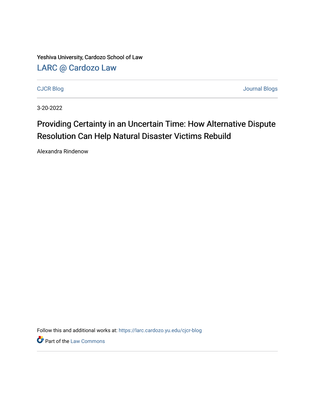Yeshiva University, Cardozo School of Law [LARC @ Cardozo Law](https://larc.cardozo.yu.edu/)

[CJCR Blog](https://larc.cardozo.yu.edu/cjcr-blog) [Journal Blogs](https://larc.cardozo.yu.edu/journal-blogs) 

3-20-2022

## Providing Certainty in an Uncertain Time: How Alternative Dispute Resolution Can Help Natural Disaster Victims Rebuild

Alexandra Rindenow

Follow this and additional works at: [https://larc.cardozo.yu.edu/cjcr-blog](https://larc.cardozo.yu.edu/cjcr-blog?utm_source=larc.cardozo.yu.edu%2Fcjcr-blog%2F29&utm_medium=PDF&utm_campaign=PDFCoverPages) 

**P** Part of the [Law Commons](http://network.bepress.com/hgg/discipline/578?utm_source=larc.cardozo.yu.edu%2Fcjcr-blog%2F29&utm_medium=PDF&utm_campaign=PDFCoverPages)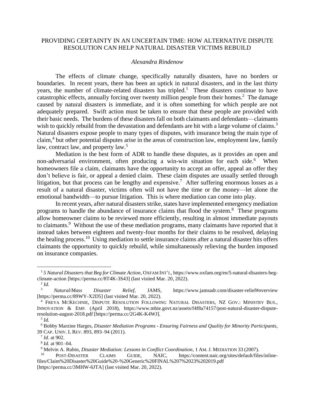## PROVIDING CERTAINTY IN AN UNCERTAIN TIME: HOW ALTERNATIVE DISPUTE RESOLUTION CAN HELP NATURAL DISASTER VICTIMS REBUILD

## *Alexandra Rindenow*

The effects of climate change, specifically naturally disasters, have no borders or boundaries. In recent years, there has been an uptick in natural disasters, and in the last thirty years, the number of climate-related disasters has tripled.<sup>1</sup> These disasters continue to have catastrophic effects, annually forcing over twenty million people from their homes.<sup>2</sup> The damage caused by natural disasters is immediate, and it is often something for which people are not adequately prepared. Swift action must be taken to ensure that these people are provided with their basic needs. The burdens of these disasters fall on both claimants and defendants—claimants wish to quickly rebuild from the devastation and defendants are hit with a large volume of claims.<sup>3</sup> Natural disasters expose people to many types of disputes, with insurance being the main type of claim, 4 but other potential disputes arise in the areas of construction law, employment law, family law, contract law, and property law.<sup>5</sup>

Mediation is the best form of ADR to handle these disputes, as it provides an open and non-adversarial environment, often producing a win-win situation for each side.<sup>6</sup> When homeowners file a claim, claimants have the opportunity to accept an offer, appeal an offer they don't believe is fair, or appeal a denied claim. These claim disputes are usually settled through litigation, but that process can be lengthy and expensive.<sup>7</sup> After suffering enormous losses as a result of a natural disaster, victims often will not have the time or the money—let alone the emotional bandwidth—to pursue litigation. This is where mediation can come into play.

In recent years, after natural disasters strike, states have implemented emergency mediation programs to handle the abundance of insurance claims that flood the system.<sup>8</sup> These programs allow homeowner claims to be reviewed more efficiently, resulting in almost immediate payouts to claimants.<sup>9</sup> Without the use of these mediation programs, many claimants have reported that it instead takes between eighteen and twenty-four months for their claims to be resolved, delaying the healing process.<sup>10</sup> Using mediation to settle insurance claims after a natural disaster hits offers claimants the opportunity to quickly rebuild, while simultaneously relieving the burden imposed on insurance companies.

<sup>1</sup> *5 Natural Disasters that Beg for Climate Action*, OXFAM INT'L, https://www.oxfam.org/en/5-natural-disasters-begclimate-action [https://perma.cc/8T4K-3S43] (last visited Mar. 20, 2022).

<sup>2</sup> *Id.*

<sup>3</sup> *Natural/Mass Disaster Relief*, JAMS, https://www.jamsadr.com/disaster-relief#overview [https://perma.cc/89WY-X2D5] (last visited Mar. 20, 2022).

<sup>4</sup> FREYA MCKECHNIE, DISPUTE RESOLUTION FOLLOWING NATURAL DISASTERS, NZ GOV.: MINISTRY BUS., INNOVATION & EMP. (April 2018), https://www.mbie.govt.nz/assets/f4f8a74157/post-natural-disaster-disputeresolution-august-2018.pdf [https://perma.cc/2G4K-K4WJ].

<sup>5</sup> *Id.*

<sup>6</sup> Bobby Marzine Harges, *Disaster Mediation Programs - Ensuring Fairness and Quality for Minority Participants*, 39 CAP. UNIV. L REV. 893, 893–94 (2011).

<sup>7</sup> *Id.* at 902.

<sup>8</sup> *Id.* at 901–04.

<sup>&</sup>lt;sup>9</sup> Melvin A. Rubin, *Disaster Mediation: Lessons in Conflict Coordination*, 1 AM. J. MEDIATION 33 (2007).

<sup>10</sup> POST-DISASTER CLAIMS GUIDE, NAIC, https://content.naic.org/sites/default/files/inlinefiles/Claim%20Disaster%20Guide%20-%20Generic%20FINAL%207%2023%202019.pdf [https://perma.cc/3MHW-6JTA] (last visited Mar. 20, 2022).